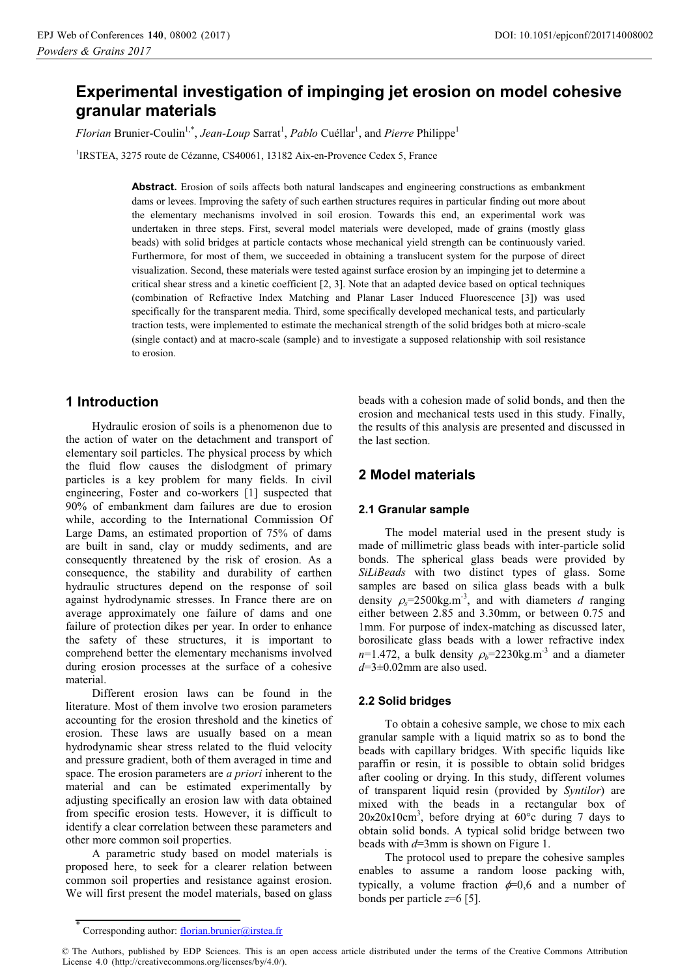# **Experimental investigation of impinging jet erosion on model cohesive granular materials**

*Florian* Brunier-Coulin<sup>1,\*</sup>, *Jean-Loup* Sarrat<sup>1</sup>, *Pablo* Cuéllar<sup>1</sup>, and *Pierre* Philippe<sup>1</sup>

<sup>1</sup>IRSTEA, 3275 route de Cézanne, CS40061, 13182 Aix-en-Provence Cedex 5, France

**Abstract.** Erosion of soils affects both natural landscapes and engineering constructions as embankment dams or levees. Improving the safety of such earthen structures requires in particular finding out more about the elementary mechanisms involved in soil erosion. Towards this end, an experimental work was undertaken in three steps. First, several model materials were developed, made of grains (mostly glass beads) with solid bridges at particle contacts whose mechanical yield strength can be continuously varied. Furthermore, for most of them, we succeeded in obtaining a translucent system for the purpose of direct visualization. Second, these materials were tested against surface erosion by an impinging jet to determine a critical shear stress and a kinetic coefficient [2, 3]. Note that an adapted device based on optical techniques (combination of Refractive Index Matching and Planar Laser Induced Fluorescence [3]) was used specifically for the transparent media. Third, some specifically developed mechanical tests, and particularly traction tests, were implemented to estimate the mechanical strength of the solid bridges both at micro-scale (single contact) and at macro-scale (sample) and to investigate a supposed relationship with soil resistance to erosion.

## **1 Introduction**

 Hydraulic erosion of soils is a phenomenon due to the action of water on the detachment and transport of elementary soil particles. The physical process by which the fluid flow causes the dislodgment of primary particles is a key problem for many fields. In civil engineering, Foster and co-workers [1] suspected that 90% of embankment dam failures are due to erosion while, according to the International Commission Of Large Dams, an estimated proportion of 75% of dams are built in sand, clay or muddy sediments, and are consequently threatened by the risk of erosion. As a consequence, the stability and durability of earthen hydraulic structures depend on the response of soil against hydrodynamic stresses. In France there are on average approximately one failure of dams and one failure of protection dikes per year. In order to enhance the safety of these structures, it is important to comprehend better the elementary mechanisms involved during erosion processes at the surface of a cohesive material.

 Different erosion laws can be found in the literature. Most of them involve two erosion parameters accounting for the erosion threshold and the kinetics of erosion. These laws are usually based on a mean hydrodynamic shear stress related to the fluid velocity and pressure gradient, both of them averaged in time and space. The erosion parameters are *a priori* inherent to the material and can be estimated experimentally by adjusting specifically an erosion law with data obtained from specific erosion tests. However, it is difficult to identify a clear correlation between these parameters and other more common soil properties.

A parametric study based on model materials is proposed here, to seek for a clearer relation between common soil properties and resistance against erosion. We will first present the model materials, based on glass beads with a cohesion made of solid bonds, and then the erosion and mechanical tests used in this study. Finally, the results of this analysis are presented and discussed in the last section.

## **2 Model materials**

#### **2.1 Granular sample**

 The model material used in the present study is made of millimetric glass beads with inter-particle solid bonds. The spherical glass beads were provided by *SiLiBeads* with two distinct types of glass. Some samples are based on silica glass beads with a bulk density  $\rho_s$ =2500kg.m<sup>-3</sup>, and with diameters *d* ranging either between 2.85 and 3.30mm, or between 0.75 and 1mm. For purpose of index-matching as discussed later, borosilicate glass beads with a lower refractive index  $n=1.472$ , a bulk density  $\rho_b=2230 \text{kg.m}^{-3}$  and a diameter *d*=3±0.02mm are also used.

### **2.2 Solid bridges**

 To obtain a cohesive sample, we chose to mix each granular sample with a liquid matrix so as to bond the beads with capillary bridges. With specific liquids like paraffin or resin, it is possible to obtain solid bridges after cooling or drying. In this study, different volumes of transparent liquid resin (provided by *Syntilor*) are mixed with the beads in a rectangular box of  $20x20x10cm<sup>3</sup>$ , before drying at 60 $^{\circ}$ c during 7 days to obtain solid bonds. A typical solid bridge between two beads with *d*=3mm is shown on Figure 1.

The protocol used to prepare the cohesive samples enables to assume a random loose packing with, typically, a volume fraction  $\psi$ =0,6 and a number of bonds per particle *z*=6 [5].

<sup>\*</sup> Corresponding author: florian.brunier@irstea.fr

<sup>©</sup> The Authors, published by EDP Sciences. This is an open access article distributed under the terms of the Creative Commons Attribution License 4.0 (http://creativecommons.org/licenses/by/4.0/).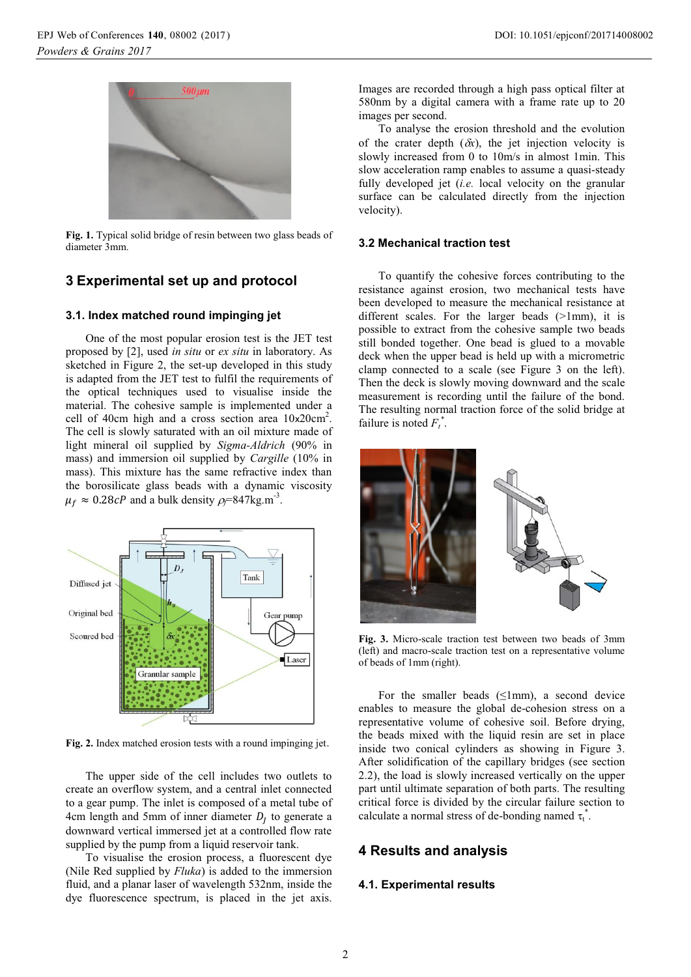

**Fig. 1.** Typical solid bridge of resin between two glass beads of diameter 3mm.

## **3 Experimental set up and protocol**

## **3.1. Index matched round impinging jet**

 One of the most popular erosion test is the JET test proposed by [2], used *in situ* or *ex situ* in laboratory. As sketched in Figure 2, the set-up developed in this study is adapted from the JET test to fulfil the requirements of the optical techniques used to visualise inside the material. The cohesive sample is implemented under a cell of 40cm high and a cross section area  $10x20 \text{cm}^2$ . The cell is slowly saturated with an oil mixture made of light mineral oil supplied by *Sigma-Aldrich* (90% in mass) and immersion oil supplied by *Cargille* (10% in mass). This mixture has the same refractive index than the borosilicate glass beads with a dynamic viscosity  $\mu_f \approx 0.28cP$  and a bulk density  $\rho_f$ =847kg.m<sup>-3</sup>.



**Fig. 2.** Index matched erosion tests with a round impinging jet.

 The upper side of the cell includes two outlets to create an overflow system, and a central inlet connected to a gear pump. The inlet is composed of a metal tube of 4cm length and 5mm of inner diameter  $D_l$  to generate a downward vertical immersed jet at a controlled flow rate supplied by the pump from a liquid reservoir tank.

 To visualise the erosion process, a fluorescent dye (Nile Red supplied by *Fluka*) is added to the immersion fluid, and a planar laser of wavelength 532nm, inside the dye fluorescence spectrum, is placed in the jet axis.

Images are recorded through a high pass optical filter at 580nm by a digital camera with a frame rate up to 20 images per second.

 To analyse the erosion threshold and the evolution of the crater depth  $(\delta x)$ , the jet injection velocity is slowly increased from 0 to 10m/s in almost 1min. This slow acceleration ramp enables to assume a quasi-steady fully developed jet (*i.e.* local velocity on the granular surface can be calculated directly from the injection velocity).

#### **3.2 Mechanical traction test**

 To quantify the cohesive forces contributing to the resistance against erosion, two mechanical tests have been developed to measure the mechanical resistance at different scales. For the larger beads (>1mm), it is possible to extract from the cohesive sample two beads still bonded together. One bead is glued to a movable deck when the upper bead is held up with a micrometric clamp connected to a scale (see Figure 3 on the left). Then the deck is slowly moving downward and the scale measurement is recording until the failure of the bond. The resulting normal traction force of the solid bridge at failure is noted  $F_t^*$ .



**Fig. 3.** Micro-scale traction test between two beads of 3mm (left) and macro-scale traction test on a representative volume of beads of 1mm (right).

For the smaller beads  $(\leq 1$ mm), a second device enables to measure the global de-cohesion stress on a representative volume of cohesive soil. Before drying, the beads mixed with the liquid resin are set in place inside two conical cylinders as showing in Figure 3. After solidification of the capillary bridges (see section 2.2), the load is slowly increased vertically on the upper part until ultimate separation of both parts. The resulting critical force is divided by the circular failure section to calculate a normal stress of de-bonding named  $\tau_t^*$ .

## **4 Results and analysis**

### **4.1. Experimental results**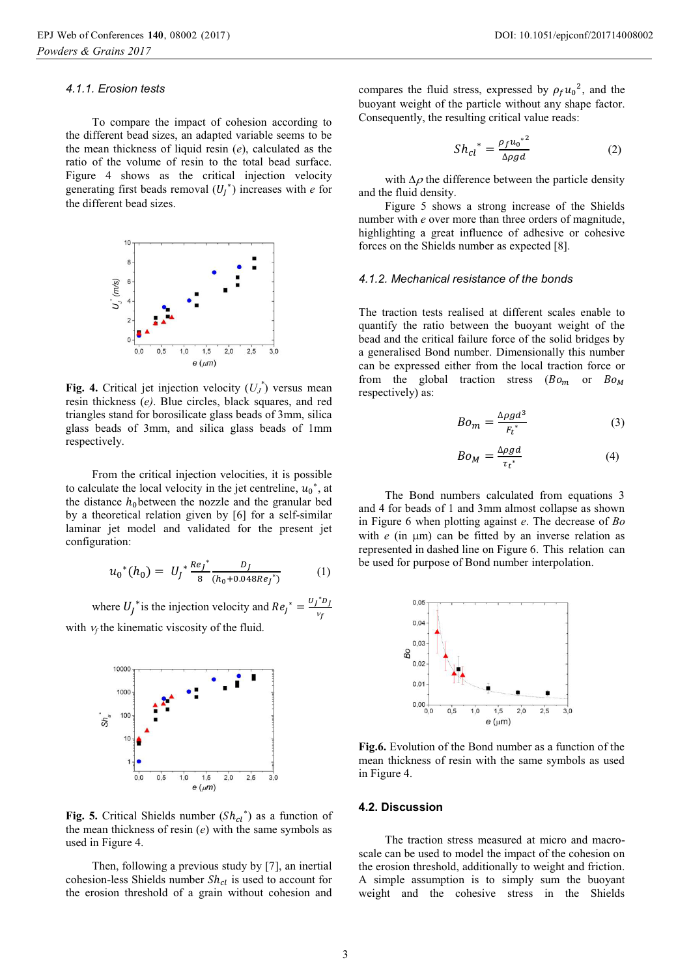### *4.1.1. Erosion tests*

 To compare the impact of cohesion according to the different bead sizes, an adapted variable seems to be the mean thickness of liquid resin (*e*), calculated as the ratio of the volume of resin to the total bead surface. Figure 4 shows as the critical injection velocity generating first beads removal  $(U_l^*)$  increases with *e* for the different bead sizes.



**Fig. 4.** Critical jet injection velocity  $(U_J^*)$  versus mean result thickness (e). Blue circles black squares and red resin thickness (*e)*. Blue circles, black squares, and red triangles stand for borosilicate glass beads of 3mm, silica glass beads of 3mm, and silica glass beads of 1mm respectively.

 From the critical injection velocities, it is possible to calculate the local velocity in the jet centreline,  $u_0^*$ , at the distance  $h_0$  between the nozzle and the granular bed by a theoretical relation given by [6] for a self-similar laminar jet model and validated for the present jet configuration:

$$
u_0^*(h_0) = U_j^* \frac{Re_j^*}{8} \frac{D_j}{(h_0 + 0.048Re_j^*)}
$$
 (1)

where  $U_I^*$  is the injection velocity and  $Re_I^* = \frac{U_I^* D_I}{U_I}$  $v_f$ 

with  $v_f$  the kinematic viscosity of the fluid.



**Fig. 5.** Critical Shields number  $(Sh_{cl}^*)$  as a function of the mean thickness of resin  $(e)$  with the same symbols as the mean thickness of resin (*e*) with the same symbols as used in Figure 4.

 Then, following a previous study by [7], an inertial cohesion-less Shields number  $Sh_{cl}$  is used to account for the erosion threshold of a grain without cohesion and

compares the fluid stress, expressed by  $\rho_f u_0^2$ , and the buoyant weight of the particle without any shape factor. Consequently, the resulting critical value reads:

$$
Sh_{cl}^* = \frac{\rho_f u_0^*^2}{\Delta \rho g d} \tag{2}
$$

with  $\Delta \rho$  the difference between the particle density and the fluid density.

 Figure 5 shows a strong increase of the Shields number with *e* over more than three orders of magnitude, highlighting a great influence of adhesive or cohesive forces on the Shields number as expected [8].

#### *4.1.2. Mechanical resistance of the bonds*

The traction tests realised at different scales enable to quantify the ratio between the buoyant weight of the bead and the critical failure force of the solid bridges by a generalised Bond number. Dimensionally this number can be expressed either from the local traction force or from the global traction stress  $(Bo_m$  or  $Bo_m$ respectively) as:

$$
Bo_m = \frac{\Delta \rho g d^3}{F_t^*} \tag{3}
$$

$$
Bo_M = \frac{\Delta \rho g d}{\tau_t^*} \tag{4}
$$

 The Bond numbers calculated from equations 3 and 4 for beads of 1 and 3mm almost collapse as shown in Figure 6 when plotting against *e*. The decrease of *Bo* with  $e$  (in  $\mu$ m) can be fitted by an inverse relation as represented in dashed line on Figure 6. This relation can be used for purpose of Bond number interpolation.



**Fig.6.** Evolution of the Bond number as a function of the mean thickness of resin with the same symbols as used in Figure 4.

#### **4.2. Discussion**

 The traction stress measured at micro and macroscale can be used to model the impact of the cohesion on the erosion threshold, additionally to weight and friction. A simple assumption is to simply sum the buoyant weight and the cohesive stress in the Shields